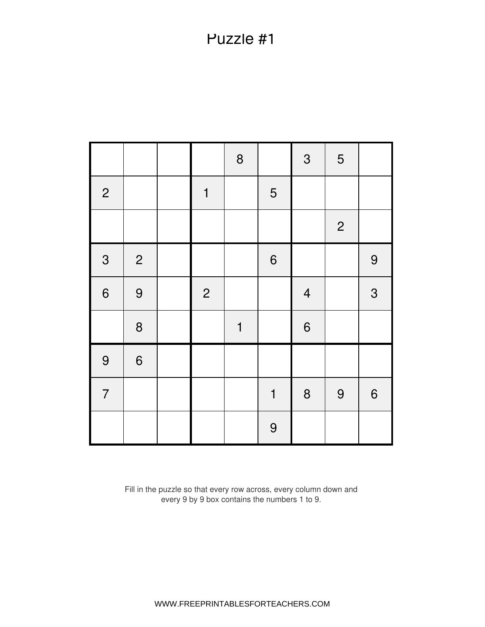|                |                  |                | 8           |                | $\mathfrak{S}$           | 5              |                  |
|----------------|------------------|----------------|-------------|----------------|--------------------------|----------------|------------------|
| $\mathbf{2}$   |                  | $\mathbf 1$    |             | $\overline{5}$ |                          |                |                  |
|                |                  |                |             |                |                          | $\overline{c}$ |                  |
| 3              | $\overline{c}$   |                |             | $\overline{6}$ |                          |                | 9                |
| $\overline{6}$ | 9                | $\overline{2}$ |             |                | $\overline{\mathcal{L}}$ |                | $\mathfrak{S}$   |
|                | $\boldsymbol{8}$ |                | $\mathbf 1$ |                | $\overline{6}$           |                |                  |
| 9              | $\boldsymbol{6}$ |                |             |                |                          |                |                  |
| $\overline{7}$ |                  |                |             | $\mathbf 1$    | $\bf 8$                  | 9              | $\boldsymbol{6}$ |
|                |                  |                |             | 9              |                          |                |                  |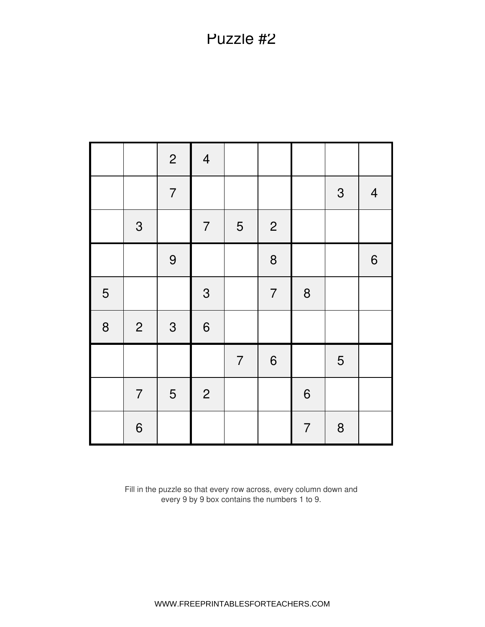|   |                | $\overline{2}$ | $\overline{4}$   |                |                  |                |                |                |
|---|----------------|----------------|------------------|----------------|------------------|----------------|----------------|----------------|
|   |                | $\overline{7}$ |                  |                |                  |                | $\mathfrak{S}$ | $\overline{4}$ |
|   | $\mathfrak{S}$ |                | $\overline{7}$   | 5              | $\overline{c}$   |                |                |                |
|   |                | 9              |                  |                | 8                |                |                | $6\phantom{a}$ |
| 5 |                |                | $\mathfrak{S}$   |                | $\overline{7}$   | 8              |                |                |
| 8 | $\overline{c}$ | $\mathfrak{S}$ | $\boldsymbol{6}$ |                |                  |                |                |                |
|   |                |                |                  | $\overline{7}$ | $\boldsymbol{6}$ |                | 5              |                |
|   | $\overline{7}$ | 5              | $\overline{c}$   |                |                  | $6\phantom{a}$ |                |                |
|   | $\overline{6}$ |                |                  |                |                  | $\overline{7}$ | $\mathbf 8$    |                |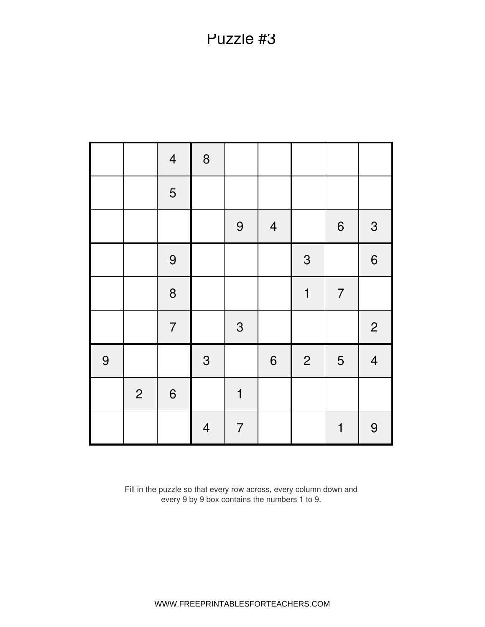|   |                | $\overline{4}$ | $\pmb{8}$      |                |                          |                |                |                |
|---|----------------|----------------|----------------|----------------|--------------------------|----------------|----------------|----------------|
|   |                | 5              |                |                |                          |                |                |                |
|   |                |                |                | 9              | $\overline{\mathcal{A}}$ |                | 6              | $\mathfrak{S}$ |
|   |                | 9              |                |                |                          | $\mathfrak{S}$ |                | $\overline{6}$ |
|   |                | 8              |                |                |                          | $\mathbf{1}$   | $\overline{7}$ |                |
|   |                | $\overline{7}$ |                | $\mathfrak{S}$ |                          |                |                | $\overline{c}$ |
| 9 |                |                | $\mathbf{3}$   |                | $\boldsymbol{6}$         | $\overline{c}$ | 5              | $\overline{4}$ |
|   | $\overline{2}$ | $6\phantom{a}$ |                | $\mathbf 1$    |                          |                |                |                |
|   |                |                | $\overline{4}$ | $\overline{7}$ |                          |                | $\mathbf 1$    | 9              |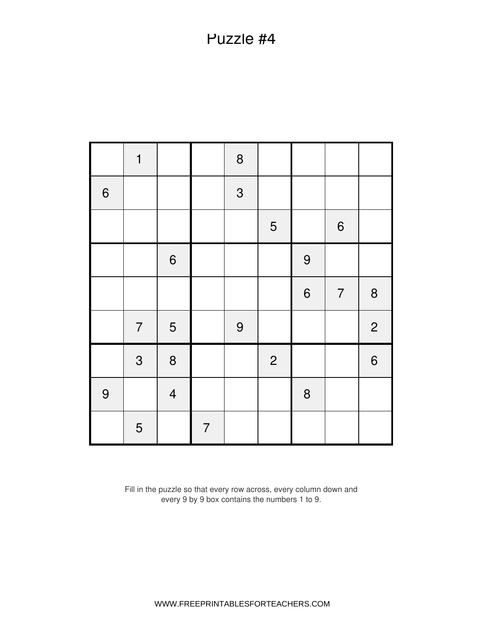|                | $\mathbf 1$    |                  |                | $\bf 8$        |                |                  |                  |                |
|----------------|----------------|------------------|----------------|----------------|----------------|------------------|------------------|----------------|
| $\overline{6}$ |                |                  |                | $\mathfrak{S}$ |                |                  |                  |                |
|                |                |                  |                |                | $\overline{5}$ |                  | $\boldsymbol{6}$ |                |
|                |                | $\boldsymbol{6}$ |                |                |                | $\overline{9}$   |                  |                |
|                |                |                  |                |                |                | $\boldsymbol{6}$ | $\overline{7}$   | 8              |
|                | $\overline{7}$ | 5                |                | 9              |                |                  |                  | $\mathbf{2}$   |
|                | 3              | 8                |                |                | $\overline{2}$ |                  |                  | $6\phantom{a}$ |
| 9              |                | $\overline{4}$   |                |                |                | $\boldsymbol{8}$ |                  |                |
|                | 5              |                  | $\overline{7}$ |                |                |                  |                  |                |